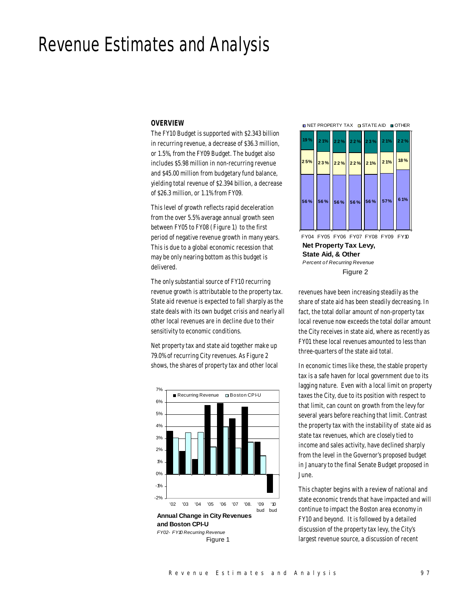# Revenue Estimates and Analysis

#### *OVERVIEW*

The FY10 Budget is supported with \$2.343 billion in recurring revenue, a decrease of \$36.3 million, or 1.5%, from the FY09 Budget. The budget also includes \$5.98 million in non-recurring revenue and \$45.00 million from budgetary fund balance, yielding total revenue of \$2.394 billion, a decrease of \$26.3 million, or 1.1% from FY09.

This level of growth reflects rapid deceleration from the over 5.5% average annual growth seen between FY05 to FY08 (Figure 1) to the first period of negative revenue growth in many years. This is due to a global economic recession that may be only nearing bottom as this budget is delivered.

The only substantial source of FY10 recurring revenue growth is attributable to the property tax. State aid revenue is expected to fall sharply as the state deals with its own budget crisis and nearly all other local revenues are in decline due to their sensitivity to economic conditions.

Net property tax and state aid together make up 79.0% of recurring City revenues. As Figure 2 shows, the shares of property tax and other local



**NET PROPERTY TAX IN STATE AID IN OTHER** 



**Net Property Tax Levy, State Aid, & Other** *Percent of Recurring Revenue* FY04 FY05 FY06 FY07 FY08 FY09 FY10 Figure 2

revenues have been increasing steadily as the share of state aid has been steadily decreasing. In fact, the total dollar amount of non-property tax local revenue now exceeds the total dollar amount the City receives in state aid, where as recently as FY01 these local revenues amounted to less than three-quarters of the state aid total.

In economic times like these, the stable property tax is a safe haven for local government due to its lagging nature. Even with a local limit on property taxes the City, due to its position with respect to that limit, can count on growth from the levy for several years before reaching that limit. Contrast the property tax with the instability of state aid as state tax revenues, which are closely tied to income and sales activity, have declined sharply from the level in the Governor's proposed budget in January to the final Senate Budget proposed in June.

This chapter begins with a review of national and state economic trends that have impacted and will continue to impact the Boston area economy in FY10 and beyond. It is followed by a detailed discussion of the property tax levy, the City's largest revenue source, a discussion of recent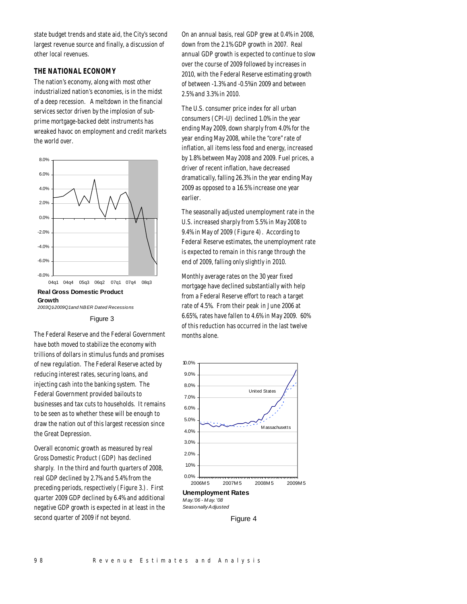state budget trends and state aid, the City's second largest revenue source and finally, a discussion of other local revenues.

# *THE NATIONAL ECONOMY*

The nation's economy, along with most other industrialized nation's economies, is in the midst of a deep recession. A meltdown in the financial services sector driven by the implosion of subprime mortgage-backed debt instruments has wreaked havoc on employment and credit markets the world over.





The Federal Reserve and the Federal Government have both moved to stabilize the economy with trillions of dollars in stimulus funds and promises of new regulation. The Federal Reserve acted by reducing interest rates, securing loans, and injecting cash into the banking system. The Federal Government provided bailouts to businesses and tax cuts to households. It remains to be seen as to whether these will be enough to draw the nation out of this largest recession since the Great Depression.

Overall economic growth as measured by real Gross Domestic Product (GDP) has declined sharply. In the third and fourth quarters of 2008, real GDP declined by 2.7% and 5.4% from the preceding periods, respectively (Figure 3.). First quarter 2009 GDP declined by 6.4% and additional negative GDP growth is expected in at least in the second quarter of 2009 if not beyond.

On an annual basis, real GDP grew at 0.4% in 2008, down from the 2.1% GDP growth in 2007. Real annual GDP growth is expected to continue to slow over the course of 2009 followed by increases in 2010, with the Federal Reserve estimating growth of between -1.3% and -0.5%in 2009 and between 2.5% and 3.3% in 2010.

The U.S. consumer price index for all urban consumers (CPI-U) declined 1.0% in the year ending May 2009, down sharply from 4.0% for the year ending May 2008, while the "core" rate of inflation, all items less food and energy, increased by 1.8% between May 2008 and 2009. Fuel prices, a driver of recent inflation, have decreased dramatically, falling 26.3% in the year ending May 2009 as opposed to a 16.5% increase one year earlier.

The seasonally adjusted unemployment rate in the U.S. increased sharply from 5.5% in May 2008 to 9.4% in May of 2009 (Figure 4). According to Federal Reserve estimates, the unemployment rate is expected to remain in this range through the end of 2009, falling only slightly in 2010.

Monthly average rates on the 30 year fixed mortgage have declined substantially with help from a Federal Reserve effort to reach a target rate of 4.5%. From their peak in June 2006 at 6.65%, rates have fallen to 4.6% in May 2009. 60% of this reduction has occurred in the last twelve months alone.



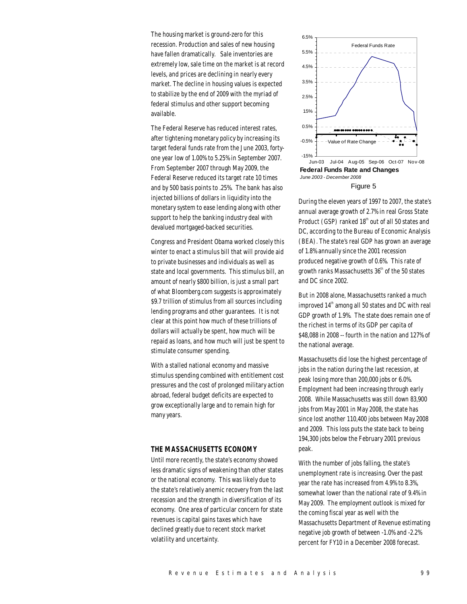The housing market is ground-zero for this recession. Production and sales of new housing have fallen dramatically. Sale inventories are extremely low, sale time on the market is at record levels, and prices are declining in nearly every market. The decline in housing values is expected to stabilize by the end of 2009 with the myriad of federal stimulus and other support becoming available.

The Federal Reserve has reduced interest rates, after tightening monetary policy by increasing its target federal funds rate from the June 2003, fortyone year low of 1.00% to 5.25% in September 2007. From September 2007 through May 2009, the Federal Reserve reduced its target rate 10 times and by 500 basis points to .25%. The bank has also injected billions of dollars in liquidity into the monetary system to ease lending along with other support to help the banking industry deal with devalued mortgaged-backed securities.

Congress and President Obama worked closely this winter to enact a stimulus bill that will provide aid to private businesses and individuals as well as state and local governments. This stimulus bill, an amount of nearly \$800 billion, is just a small part of what Bloomberg.com suggests is approximately \$9.7 trillion of stimulus from all sources including lending programs and other guarantees. It is not clear at this point how much of these trillions of dollars will actually be spent, how much will be repaid as loans, and how much will just be spent to stimulate consumer spending.

With a stalled national economy and massive stimulus spending combined with entitlement cost pressures and the cost of prolonged military action abroad, federal budget deficits are expected to grow exceptionally large and to remain high for many years.

## *THE MASSACHUSETTS ECONOMY*

Until more recently, the state's economy showed less dramatic signs of weakening than other states or the national economy. This was likely due to the state's relatively anemic recovery from the last recession and the strength in diversification of its economy. One area of particular concern for state revenues is capital gains taxes which have declined greatly due to recent stock market volatility and uncertainty.



**Federal Funds Rate and Changes**  *June 2003 - December 2008* Figure 5

During the eleven years of 1997 to 2007, the state's annual average growth of 2.7% in real Gross State Product (GSP) ranked 18<sup>th</sup> out of all 50 states and DC, according to the Bureau of Economic Analysis (BEA). The state's real GDP has grown an average of 1.8% annually since the 2001 recession produced negative growth of 0.6%. This rate of growth ranks Massachusetts  $36<sup>th</sup>$  of the 50 states and DC since 2002.

But in 2008 alone, Massachusetts ranked a much improved  $14<sup>th</sup>$  among all 50 states and DC with real GDP growth of 1.9%. The state does remain one of the richest in terms of its GDP per capita of \$48,088 in 2008 -- fourth in the nation and 127% of the national average.

Massachusetts did lose the highest percentage of jobs in the nation during the last recession, at peak losing more than 200,000 jobs or 6.0%. Employment had been increasing through early 2008. While Massachusetts was still down 83,900 jobs from May 2001 in May 2008, the state has since lost another 110,400 jobs between May 2008 and 2009. This loss puts the state back to being 194,300 jobs below the February 2001 previous peak.

With the number of jobs falling, the state's unemployment rate is increasing. Over the past year the rate has increased from 4.9% to 8.3%, somewhat lower than the national rate of 9.4% in May 2009. The employment outlook is mixed for the coming fiscal year as well with the Massachusetts Department of Revenue estimating negative job growth of between -1.0% and -2.2% percent for FY10 in a December 2008 forecast.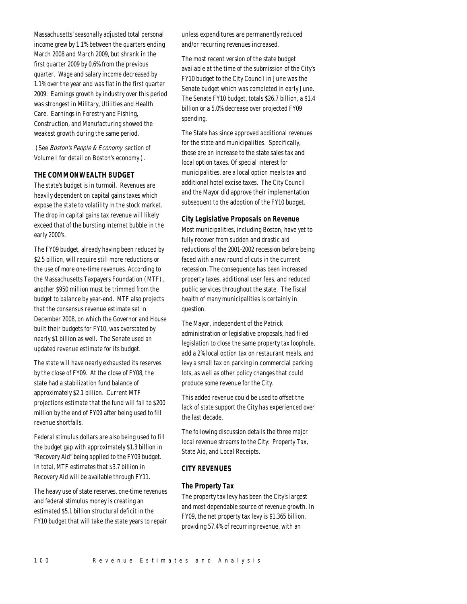Massachusetts' seasonally adjusted total personal income grew by 1.1% between the quarters ending March 2008 and March 2009, but shrank in the first quarter 2009 by 0.6% from the previous quarter. Wage and salary income decreased by 1.1% over the year and was flat in the first quarter 2009. Earnings growth by industry over this period was strongest in Military, Utilities and Health Care. Earnings in Forestry and Fishing, Construction, and Manufacturing showed the weakest growth during the same period.

 (See Boston's People & Economy section of Volume I for detail on Boston's economy.).

# *THE COMMONWEALTH BUDGET*

The state's budget is in turmoil. Revenues are heavily dependent on capital gains taxes which expose the state to volatility in the stock market. The drop in capital gains tax revenue will likely exceed that of the bursting internet bubble in the early 2000's.

The FY09 budget, already having been reduced by \$2.5 billion, will require still more reductions or the use of more one-time revenues. According to the Massachusetts Taxpayers Foundation (MTF), another \$950 million must be trimmed from the budget to balance by year-end. MTF also projects that the consensus revenue estimate set in December 2008, on which the Governor and House built their budgets for FY10, was overstated by nearly \$1 billion as well. The Senate used an updated revenue estimate for its budget.

The state will have nearly exhausted its reserves by the close of FY09. At the close of FY08, the state had a stabilization fund balance of approximately \$2.1 billion. Current MTF projections estimate that the fund will fall to \$200 million by the end of FY09 after being used to fill revenue shortfalls.

Federal stimulus dollars are also being used to fill the budget gap with approximately \$1.3 billion in "Recovery Aid" being applied to the FY09 budget. In total, MTF estimates that \$3.7 billion in Recovery Aid will be available through FY11.

The heavy use of state reserves, one-time revenues and federal stimulus money is creating an estimated \$5.1 billion structural deficit in the FY10 budget that will take the state years to repair unless expenditures are permanently reduced and/or recurring revenues increased.

The most recent version of the state budget available at the time of the submission of the City's FY10 budget to the City Council in June was the Senate budget which was completed in early June. The Senate FY10 budget, totals \$26.7 billion, a \$1.4 billion or a 5.0% decrease over projected FY09 spending.

The State has since approved additional revenues for the state and municipalities. Specifically, those are an increase to the state sales tax and local option taxes. Of special interest for municipalities, are a local option meals tax and additional hotel excise taxes. The City Council and the Mayor did approve their implementation subsequent to the adoption of the FY10 budget.

#### *City Legislative Proposals on Revenue*

Most municipalities, including Boston, have yet to fully recover from sudden and drastic aid reductions of the 2001-2002 recession before being faced with a new round of cuts in the current recession. The consequence has been increased property taxes, additional user fees, and reduced public services throughout the state. The fiscal health of many municipalities is certainly in question.

The Mayor, independent of the Patrick administration or legislative proposals, had filed legislation to close the same property tax loophole, add a 2% local option tax on restaurant meals, and levy a small tax on parking in commercial parking lots, as well as other policy changes that could produce some revenue for the City.

This added revenue could be used to offset the lack of state support the City has experienced over the last decade.

The following discussion details the three major local revenue streams to the City: Property Tax, State Aid, and Local Receipts.

# *CITY REVENUES*

## *The Property Tax*

The property tax levy has been the City's largest and most dependable source of revenue growth. In FY09, the net property tax levy is \$1.365 billion, providing 57.4% of recurring revenue, with an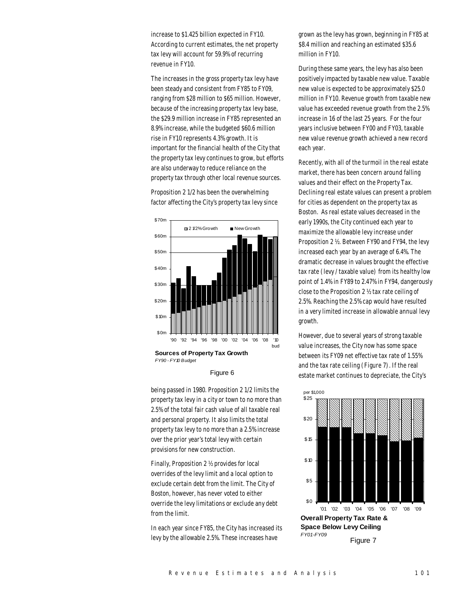increase to \$1.425 billion expected in FY10. According to current estimates, the net property tax levy will account for 59.9% of recurring revenue in FY10.

The increases in the gross property tax levy have been steady and consistent from FY85 to FY09, ranging from \$28 million to \$65 million. However, because of the increasing property tax levy base, the \$29.9 million increase in FY85 represented an 8.9% increase, while the budgeted \$60.6 million rise in FY10 represents 4.3% growth. It is important for the financial health of the City that the property tax levy continues to grow, but efforts are also underway to reduce reliance on the property tax through other local revenue sources.

Proposition 2 1/2 has been the overwhelming factor affecting the City's property tax levy since



#### Figure 6

being passed in 1980. Proposition 2 1/2 limits the property tax levy in a city or town to no more than 2.5% of the total fair cash value of all taxable real and personal property. It also limits the total property tax levy to no more than a 2.5% increase over the prior year's total levy with certain provisions for new construction.

Finally, Proposition 2 ½ provides for local overrides of the levy limit and a local option to exclude certain debt from the limit. The City of Boston, however, has never voted to either override the levy limitations or exclude any debt from the limit.

In each year since FY85, the City has increased its levy by the allowable 2.5%. These increases have

grown as the levy has grown, beginning in FY85 at \$8.4 million and reaching an estimated \$35.6 million in FY10.

During these same years, the levy has also been positively impacted by taxable new value. Taxable new value is expected to be approximately \$25.0 million in FY10. Revenue growth from taxable new value has exceeded revenue growth from the 2.5% increase in 16 of the last 25 years. For the four years inclusive between FY00 and FY03, taxable new value revenue growth achieved a new record each year.

Recently, with all of the turmoil in the real estate market, there has been concern around falling values and their effect on the Property Tax. Declining real estate values can present a problem for cities as dependent on the property tax as Boston. As real estate values decreased in the early 1990s, the City continued each year to maximize the allowable levy increase under Proposition 2 ½. Between FY90 and FY94, the levy increased each year by an average of 6.4%. The dramatic decrease in values brought the effective tax rate (levy / taxable value) from its healthy low point of 1.4% in FY89 to 2.47% in FY94, dangerously close to the Proposition 2 ½ tax rate ceiling of 2.5%. Reaching the 2.5% cap would have resulted in a very limited increase in allowable annual levy growth.

However, due to several years of strong taxable value increases, the City now has some space between its FY09 net effective tax rate of 1.55% and the tax rate ceiling (Figure 7). If the real estate market continues to depreciate, the City's

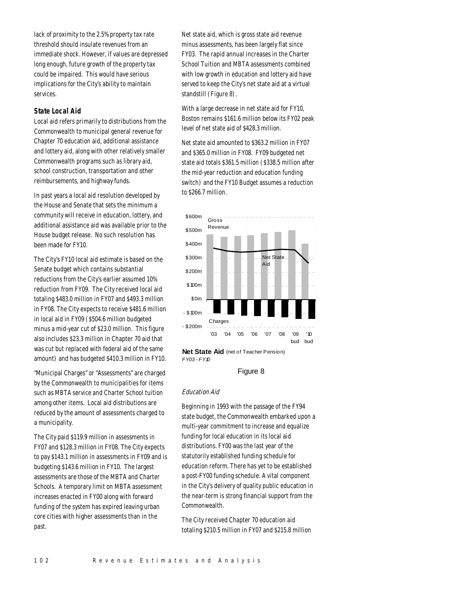lack of proximity to the 2.5% property tax rate threshold should insulate revenues from an immediate shock. However, if values are depressed long enough, future growth of the property tax could be impaired. This would have serious implications for the City's ability to maintain services.

# *State Local Aid*

Local aid refers primarily to distributions from the Commonwealth to municipal general revenue for Chapter 70 education aid, additional assistance and lottery aid, along with other relatively smaller Commonwealth programs such as library aid, school construction, transportation and other reimbursements, and highway funds.

In past years a local aid resolution developed by the House and Senate that sets the minimum a community will receive in education, lottery, and additional assistance aid was available prior to the House budget release. No such resolution has been made for FY10.

The City's FY10 local aid estimate is based on the Senate budget which contains substantial reductions from the City's earlier assumed 10% reduction from FY09. The City received local aid totaling \$483.0 million in FY07 and \$493.3 million in FY08. The City expects to receive \$481.6 million in local aid in FY09 (\$504.6 million budgeted minus a mid-year cut of \$23.0 million. This figure also includes \$23.3 million in Chapter 70 aid that was cut but replaced with federal aid of the same amount) and has budgeted \$410.3 million in FY10.

"Municipal Charges" or "Assessments" are charged by the Commonwealth to municipalities for items such as MBTA service and Charter School tuition among other items. Local aid distributions are reduced by the amount of assessments charged to a municipality.

The City paid \$119.9 million in assessments in FY07 and \$128.3 million in FY08. The City expects to pay \$143.1 million in assessments in FY09 and is budgeting \$143.6 million in FY10. The largest assessments are those of the MBTA and Charter Schools. A temporary limit on MBTA assessment increases enacted in FY00 along with forward funding of the system has expired leaving urban core cities with higher assessments than in the past.

Net state aid, which is gross state aid revenue minus assessments, has been largely flat since FY03. The rapid annual increases in the Charter School Tuition and MBTA assessments combined with low growth in education and lottery aid have served to keep the City's net state aid at a virtual standstill (Figure 8).

With a large decrease in net state aid for FY10, Boston remains \$161.6 million below its FY02 peak level of net state aid of \$428.3 million.

Net state aid amounted to \$363.2 million in FY07 and \$365.0 million in FY08. FY09 budgeted net state aid totals \$361.5 million (\$338.5 million after the mid-year reduction and education funding switch) and the FY10 Budget assumes a reduction to \$266.7 million.



**Net State Aid** (net of Teacher Pension) *FY03 - FY10*

# Figure 8

#### Education Aid

Beginning in 1993 with the passage of the FY94 state budget, the Commonwealth embarked upon a multi-year commitment to increase and equalize funding for local education in its local aid distributions. FY00 was the last year of the statutorily established funding schedule for education reform. There has yet to be established a post-FY00 funding schedule. A vital component in the City's delivery of quality public education in the near-term is strong financial support from the Commonwealth.

The City received Chapter 70 education aid totaling \$210.5 million in FY07 and \$215.8 million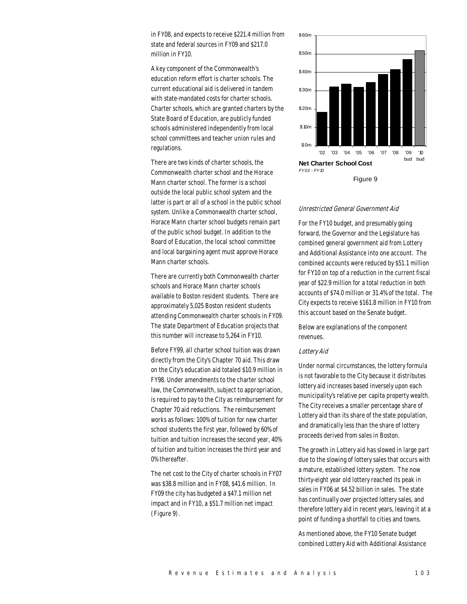in FY08, and expects to receive \$221.4 million from state and federal sources in FY09 and \$217.0 million in FY10.

A key component of the Commonwealth's education reform effort is charter schools. The current educational aid is delivered in tandem with state-mandated costs for charter schools. Charter schools, which are granted charters by the State Board of Education, are publicly funded schools administered independently from local school committees and teacher union rules and regulations.

There are two kinds of charter schools, the Commonwealth charter school and the Horace Mann charter school. The former is a school outside the local public school system and the latter is part or all of a school in the public school system. Unlike a Commonwealth charter school, Horace Mann charter school budgets remain part of the public school budget. In addition to the Board of Education, the local school committee and local bargaining agent must approve Horace Mann charter schools.

There are currently both Commonwealth charter schools and Horace Mann charter schools available to Boston resident students. There are approximately 5,025 Boston resident students attending Commonwealth charter schools in FY09. The state Department of Education projects that this number will increase to 5,264 in FY10.

Before FY99, all charter school tuition was drawn directly from the City's Chapter 70 aid. This draw on the City's education aid totaled \$10.9 million in FY98. Under amendments to the charter school law, the Commonwealth, subject to appropriation, is required to pay to the City as reimbursement for Chapter 70 aid reductions. The reimbursement works as follows: 100% of tuition for new charter school students the first year, followed by 60% of tuition and tuition increases the second year, 40% of tuition and tuition increases the third year and 0% thereafter.

The net cost to the City of charter schools in FY07 was \$38.8 million and in FY08, \$41.6 million. In FY09 the city has budgeted a \$47.1 million net impact and in FY10, a \$51.7 million net impact (Figure 9).



#### Unrestricted General Government Aid

For the FY10 budget, and presumably going forward, the Governor and the Legislature has combined general government aid from Lottery and Additional Assistance into one account. The combined accounts were reduced by \$51.1 million for FY10 on top of a reduction in the current fiscal year of \$22.9 million for a total reduction in both accounts of \$74.0 million or 31.4% of the total. The City expects to receive \$161.8 million in FY10 from this account based on the Senate budget.

Below are explanations of the component revenues.

#### Lottery Aid

Under normal circumstances, the lottery formula is not favorable to the City because it distributes lottery aid increases based inversely upon each municipality's relative per capita property wealth. The City receives a smaller percentage share of Lottery aid than its share of the state population, and dramatically less than the share of lottery proceeds derived from sales in Boston.

The growth in Lottery aid has slowed in large part due to the slowing of lottery sales that occurs with a mature, established lottery system. The now thirty-eight year old lottery reached its peak in sales in FY06 at \$4.52 billion in sales. The state has continually over projected lottery sales, and therefore lottery aid in recent years, leaving it at a point of funding a shortfall to cities and towns.

As mentioned above, the FY10 Senate budget combined Lottery Aid with Additional Assistance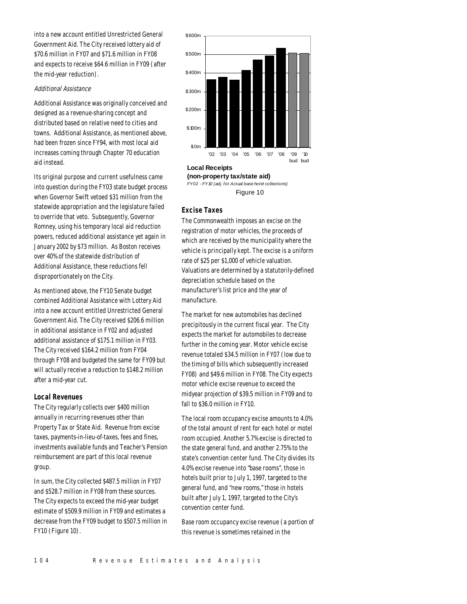into a new account entitled Unrestricted General Government Aid. The City received lottery aid of \$70.6 million in FY07 and \$71.6 million in FY08 and expects to receive \$64.6 million in FY09 (after the mid-year reduction).

# Additional Assistance

Additional Assistance was originally conceived and designed as a revenue-sharing concept and distributed based on relative need to cities and towns. Additional Assistance, as mentioned above, had been frozen since FY94, with most local aid increases coming through Chapter 70 education aid instead.

Its original purpose and current usefulness came into question during the FY03 state budget process when Governor Swift vetoed \$31 million from the statewide appropriation and the legislature failed to override that veto. Subsequently, Governor Romney, using his temporary local aid reduction powers, reduced additional assistance yet again in January 2002 by \$73 million. As Boston receives over 40% of the statewide distribution of Additional Assistance, these reductions fell disproportionately on the City.

As mentioned above, the FY10 Senate budget combined Additional Assistance with Lottery Aid into a new account entitled Unrestricted General Government Aid. The City received \$206.6 million in additional assistance in FY02 and adjusted additional assistance of \$175.1 million in FY03. The City received \$164.2 million from FY04 through FY08 and budgeted the same for FY09 but will actually receive a reduction to \$148.2 million after a mid-year cut.

# *Local Revenues*

The City regularly collects over \$400 million annually in recurring revenues other than Property Tax or State Aid. Revenue from excise taxes, payments-in-lieu-of-taxes, fees and fines, investments available funds and Teacher's Pension reimbursement are part of this local revenue group.

In sum, the City collected \$487.5 million in FY07 and \$528.7 million in FY08 from these sources. The City expects to exceed the mid-year budget estimate of \$509.9 million in FY09 and estimates a decrease from the FY09 budget to \$507.5 million in FY10 (Figure 10).



# **Local Receipts**

**(non-property tax/state aid)**  *FY02 - FY10 (adj. fot Actual base hotel collections)* Figure 10

# *Excise Taxes*

The Commonwealth imposes an excise on the registration of motor vehicles, the proceeds of which are received by the municipality where the vehicle is principally kept. The excise is a uniform rate of \$25 per \$1,000 of vehicle valuation. Valuations are determined by a statutorily-defined depreciation schedule based on the manufacturer's list price and the year of manufacture.

The market for new automobiles has declined precipitously in the current fiscal year. The City expects the market for automobiles to decrease further in the coming year. Motor vehicle excise revenue totaled \$34.5 million in FY07 (low due to the timing of bills which subsequently increased FY08) and \$49.6 million in FY08. The City expects motor vehicle excise revenue to exceed the midyear projection of \$39.5 million in FY09 and to fall to \$36.0 million in FY10.

The local room occupancy excise amounts to 4.0% of the total amount of rent for each hotel or motel room occupied. Another 5.7% excise is directed to the state general fund, and another 2.75% to the state's convention center fund. The City divides its 4.0% excise revenue into "base rooms", those in hotels built prior to July 1, 1997, targeted to the general fund, and "new rooms," those in hotels built after July 1, 1997, targeted to the City's convention center fund.

Base room occupancy excise revenue (a portion of this revenue is sometimes retained in the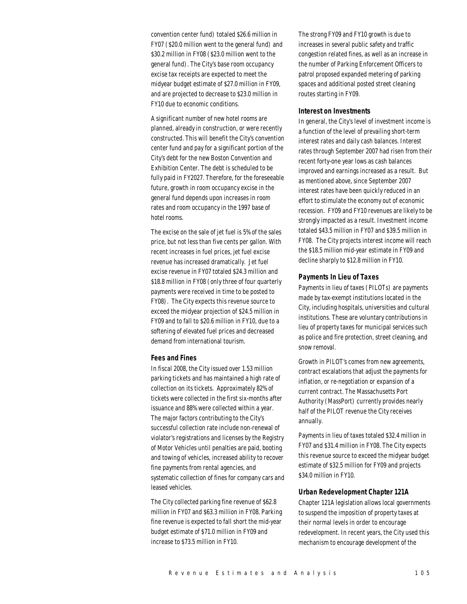convention center fund) totaled \$26.6 million in FY07 (\$20.0 million went to the general fund) and \$30.2 million in FY08 (\$23.0 million went to the general fund). The City's base room occupancy excise tax receipts are expected to meet the midyear budget estimate of \$27.0 million in FY09, and are projected to decrease to \$23.0 million in FY10 due to economic conditions.

A significant number of new hotel rooms are planned, already in construction, or were recently constructed. This will benefit the City's convention center fund and pay for a significant portion of the City's debt for the new Boston Convention and Exhibition Center. The debt is scheduled to be fully paid in FY2027. Therefore, for the foreseeable future, growth in room occupancy excise in the general fund depends upon increases in room rates and room occupancy in the 1997 base of hotel rooms.

The excise on the sale of jet fuel is 5% of the sales price, but not less than five cents per gallon. With recent increases in fuel prices, jet fuel excise revenue has increased dramatically. Jet fuel excise revenue in FY07 totaled \$24.3 million and \$18.8 million in FY08 (only three of four quarterly payments were received in time to be posted to FY08). The City expects this revenue source to exceed the midyear projection of \$24.5 million in FY09 and to fall to \$20.6 million in FY10, due to a softening of elevated fuel prices and decreased demand from international tourism.

# *Fees and Fines*

In fiscal 2008, the City issued over 1.53 million parking tickets and has maintained a high rate of collection on its tickets. Approximately 82% of tickets were collected in the first six-months after issuance and 88% were collected within a year. The major factors contributing to the City's successful collection rate include non-renewal of violator's registrations and licenses by the Registry of Motor Vehicles until penalties are paid, booting and towing of vehicles, increased ability to recover fine payments from rental agencies, and systematic collection of fines for company cars and leased vehicles.

The City collected parking fine revenue of \$62.8 million in FY07 and \$63.3 million in FY08. Parking fine revenue is expected to fall short the mid-year budget estimate of \$71.0 million in FY09 and increase to \$73.5 million in FY10.

The strong FY09 and FY10 growth is due to increases in several public safety and traffic congestion related fines, as well as an increase in the number of Parking Enforcement Officers to patrol proposed expanded metering of parking spaces and additional posted street cleaning routes starting in FY09.

#### *Interest on Investments*

In general, the City's level of investment income is a function of the level of prevailing short-term interest rates and daily cash balances. Interest rates through September 2007 had risen from their recent forty-one year lows as cash balances improved and earnings increased as a result. But as mentioned above, since September 2007 interest rates have been quickly reduced in an effort to stimulate the economy out of economic recession. FY09 and FY10 revenues are likely to be strongly impacted as a result. Investment income totaled \$43.5 million in FY07 and \$39.5 million in FY08. The City projects interest income will reach the \$18.5 million mid-year estimate in FY09 and decline sharply to \$12.8 million in FY10.

#### *Payments In Lieu of Taxes*

Payments in lieu of taxes (PILOTs) are payments made by tax-exempt institutions located in the City, including hospitals, universities and cultural institutions. These are voluntary contributions in lieu of property taxes for municipal services such as police and fire protection, street cleaning, and snow removal.

Growth in PILOT's comes from new agreements, contract escalations that adjust the payments for inflation, or re-negotiation or expansion of a current contract. The Massachusetts Port Authority (MassPort) currently provides nearly half of the PILOT revenue the City receives annually.

Payments in lieu of taxes totaled \$32.4 million in FY07 and \$31.4 million in FY08. The City expects this revenue source to exceed the midyear budget estimate of \$32.5 million for FY09 and projects \$34.0 million in FY10.

# *Urban Redevelopment Chapter 121A*

Chapter 121A legislation allows local governments to suspend the imposition of property taxes at their normal levels in order to encourage redevelopment. In recent years, the City used this mechanism to encourage development of the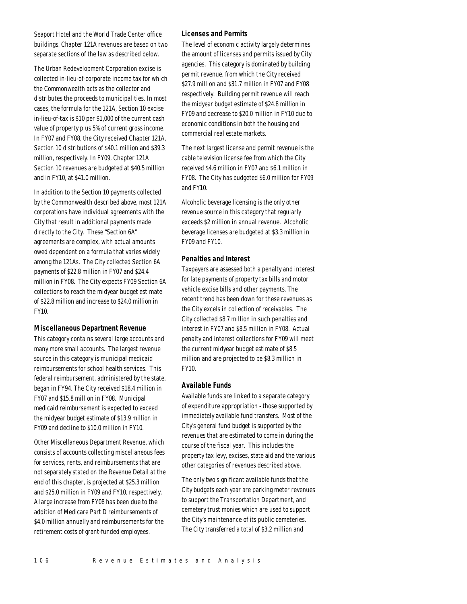Seaport Hotel and the World Trade Center office buildings. Chapter 121A revenues are based on two separate sections of the law as described below.

The Urban Redevelopment Corporation excise is collected in-lieu-of-corporate income tax for which the Commonwealth acts as the collector and distributes the proceeds to municipalities. In most cases, the formula for the 121A, Section 10 excise in-lieu-of-tax is \$10 per \$1,000 of the current cash value of property plus 5% of current gross income. In FY07 and FY08, the City received Chapter 121A, Section 10 distributions of \$40.1 million and \$39.3 million, respectively. In FY09, Chapter 121A Section 10 revenues are budgeted at \$40.5 million and in FY10, at \$41.0 million.

In addition to the Section 10 payments collected by the Commonwealth described above, most 121A corporations have individual agreements with the City that result in additional payments made directly to the City. These "Section 6A" agreements are complex, with actual amounts owed dependent on a formula that varies widely among the 121As. The City collected Section 6A payments of \$22.8 million in FY07 and \$24.4 million in FY08. The City expects FY09 Section 6A collections to reach the midyear budget estimate of \$22.8 million and increase to \$24.0 million in FY10.

#### *Miscellaneous Department Revenue*

This category contains several large accounts and many more small accounts. The largest revenue source in this category is municipal medicaid reimbursements for school health services. This federal reimbursement, administered by the state, began in FY94. The City received \$18.4 million in FY07 and \$15.8 million in FY08. Municipal medicaid reimbursement is expected to exceed the midyear budget estimate of \$13.9 million in FY09 and decline to \$10.0 million in FY10.

Other Miscellaneous Department Revenue, which consists of accounts collecting miscellaneous fees for services, rents, and reimbursements that are not separately stated on the Revenue Detail at the end of this chapter, is projected at \$25.3 million and \$25.0 million in FY09 and FY10, respectively. A large increase from FY08 has been due to the addition of Medicare Part D reimbursements of \$4.0 million annually and reimbursements for the retirement costs of grant-funded employees.

#### *Licenses and Permits*

The level of economic activity largely determines the amount of licenses and permits issued by City agencies. This category is dominated by building permit revenue, from which the City received \$27.9 million and \$31.7 million in FY07 and FY08 respectively. Building permit revenue will reach the midyear budget estimate of \$24.8 million in FY09 and decrease to \$20.0 million in FY10 due to economic conditions in both the housing and commercial real estate markets.

The next largest license and permit revenue is the cable television license fee from which the City received \$4.6 million in FY07 and \$6.1 million in FY08. The City has budgeted \$6.0 million for FY09 and FY10.

Alcoholic beverage licensing is the only other revenue source in this category that regularly exceeds \$2 million in annual revenue. Alcoholic beverage licenses are budgeted at \$3.3 million in FY09 and FY10.

## *Penalties and Interest*

Taxpayers are assessed both a penalty and interest for late payments of property tax bills and motor vehicle excise bills and other payments. The recent trend has been down for these revenues as the City excels in collection of receivables. The City collected \$8.7 million in such penalties and interest in FY07 and \$8.5 million in FY08. Actual penalty and interest collections for FY09 will meet the current midyear budget estimate of \$8.5 million and are projected to be \$8.3 million in FY10.

# *Available Funds*

Available funds are linked to a separate category of expenditure appropriation - those supported by immediately available fund transfers. Most of the City's general fund budget is supported by the revenues that are estimated to come in during the course of the fiscal year. This includes the property tax levy, excises, state aid and the various other categories of revenues described above.

The only two significant available funds that the City budgets each year are parking meter revenues to support the Transportation Department, and cemetery trust monies which are used to support the City's maintenance of its public cemeteries. The City transferred a total of \$3.2 million and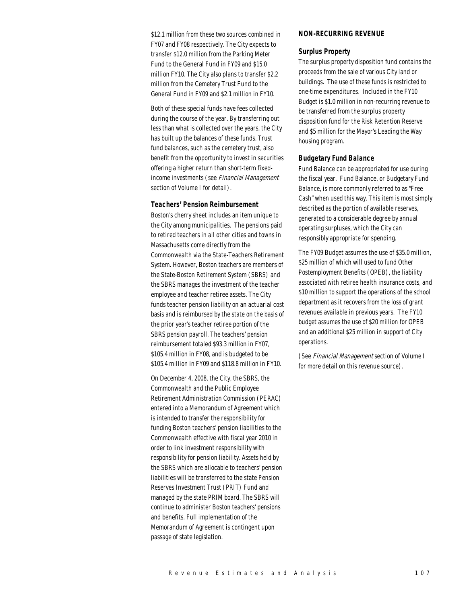\$12.1 million from these two sources combined in FY07 and FY08 respectively. The City expects to transfer \$12.0 million from the Parking Meter Fund to the General Fund in FY09 and \$15.0 million FY10. The City also plans to transfer \$2.2 million from the Cemetery Trust Fund to the General Fund in FY09 and \$2.1 million in FY10.

Both of these special funds have fees collected during the course of the year. By transferring out less than what is collected over the years, the City has built up the balances of these funds. Trust fund balances, such as the cemetery trust, also benefit from the opportunity to invest in securities offering a higher return than short-term fixedincome investments (see Financial Management section of Volume I for detail).

## *Teachers' Pension Reimbursement*

Boston's cherry sheet includes an item unique to the City among municipalities. The pensions paid to retired teachers in all other cities and towns in Massachusetts come directly from the Commonwealth via the State-Teachers Retirement System. However, Boston teachers are members of the State-Boston Retirement System (SBRS) and the SBRS manages the investment of the teacher employee and teacher retiree assets. The City funds teacher pension liability on an actuarial cost basis and is reimbursed by the state on the basis of the prior year's teacher retiree portion of the SBRS pension payroll. The teachers' pension reimbursement totaled \$93.3 million in FY07, \$105.4 million in FY08, and is budgeted to be \$105.4 million in FY09 and \$118.8 million in FY10.

On December 4, 2008, the City, the SBRS, the Commonwealth and the Public Employee Retirement Administration Commission (PERAC) entered into a Memorandum of Agreement which is intended to transfer the responsibility for funding Boston teachers' pension liabilities to the Commonwealth effective with fiscal year 2010 in order to link investment responsibility with responsibility for pension liability. Assets held by the SBRS which are allocable to teachers' pension liabilities will be transferred to the state Pension Reserves Investment Trust (PRIT) Fund and managed by the state PRIM board. The SBRS will continue to administer Boston teachers' pensions and benefits. Full implementation of the Memorandum of Agreement is contingent upon passage of state legislation.

# *NON-RECURRING REVENUE*

#### *Surplus Property*

The surplus property disposition fund contains the proceeds from the sale of various City land or buildings. The use of these funds is restricted to one-time expenditures. Included in the FY10 Budget is \$1.0 million in non-recurring revenue to be transferred from the surplus property disposition fund for the Risk Retention Reserve and \$5 million for the Mayor's Leading the Way housing program.

## *Budgetary Fund Balance*

Fund Balance can be appropriated for use during the fiscal year. Fund Balance, or Budgetary Fund Balance, is more commonly referred to as "Free Cash" when used this way. This item is most simply described as the portion of available reserves, generated to a considerable degree by annual operating surpluses, which the City can responsibly appropriate for spending.

The FY09 Budget assumes the use of \$35.0 million, \$25 million of which will used to fund Other Postemployment Benefits (OPEB), the liability associated with retiree health insurance costs, and \$10 million to support the operations of the school department as it recovers from the loss of grant revenues available in previous years. The FY10 budget assumes the use of \$20 million for OPEB and an additional \$25 million in support of City operations.

(See Financial Management section of Volume I for more detail on this revenue source).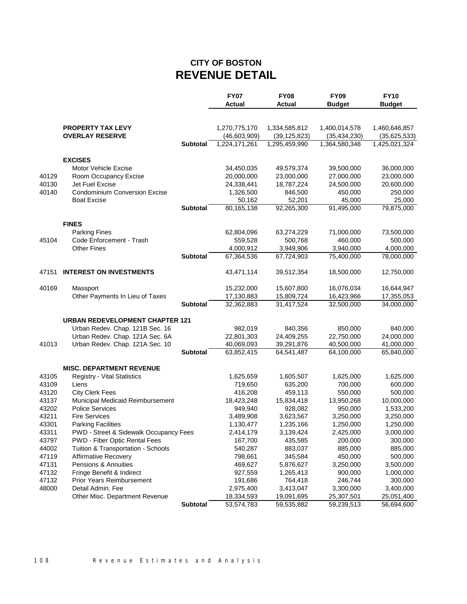# **CITY OF BOSTON REVENUE DETAIL**

| <b>PROPERTY TAX LEVY</b><br>1,270,775,170<br>1,334,585,812<br>1,400,014,578<br>1,460,646,857<br><b>OVERLAY RESERVE</b><br>(46,603,909)<br>(39, 125, 823)<br>(35, 434, 230)<br>(35,625,533)<br><b>Subtotal</b><br>1,224,171,261<br>1,295,459,990<br>1,364,580,348<br>1,425,021,324<br><b>EXCISES</b><br>Motor Vehicle Excise<br>34,450,035<br>49,579,374<br>39,500,000<br>36,000,000<br>40129<br>Room Occupancy Excise<br>20,000,000<br>23,000,000<br>27,000,000<br>23,000,000<br>40130<br>Jet Fuel Excise<br>24,338,441<br>18,787,224<br>24,500,000<br>20,600,000<br><b>Condominium Conversion Excise</b><br>40140<br>1,326,500<br>846,500<br>450,000<br>250,000<br><b>Boat Excise</b><br>50,162<br>52,201<br>45,000<br>25,000<br><b>Subtotal</b><br>80,165,138<br>91,495,000<br>79,875,000<br>92,265,300<br><b>FINES</b><br><b>Parking Fines</b><br>62,804,096<br>63,274,229<br>71,000,000<br>73,500,000<br>Code Enforcement - Trash<br>460,000<br>45104<br>559.528<br>500,768<br>500,000<br><b>Other Fines</b><br>4,000,912<br>3,949,906<br>3,940,000<br>4,000,000<br><b>Subtotal</b><br>67,364,536<br>67,724,903<br>75,400,000<br>78,000,000<br><b>INTEREST ON INVESTMENTS</b><br>47151<br>43,471,114<br>39,512,354<br>18,500,000<br>12,750,000<br>40169<br>15,232,000<br>15,607,800<br>16,076,034<br>Massport<br>16,644,947<br>Other Payments In Lieu of Taxes<br>17,130,883<br>15,809,724<br>16,423,966<br>17,355,053<br><b>Subtotal</b><br>32,362,883<br>31,417,524<br>32,500,000<br>34,000,000<br><b>URBAN REDEVELOPMENT CHAPTER 121</b><br>Urban Redev. Chap. 121B Sec. 16<br>982,019<br>840,356<br>850,000<br>840,000<br>Urban Redev. Chap. 121A Sec. 6A<br>22,801,303<br>22,750,000<br>24,409,255<br>24,000,000<br>Urban Redev. Chap. 121A Sec. 10<br>41013<br>40,069,093<br>39,291,876<br>40,500,000<br>41,000,000<br><b>Subtotal</b><br>63,852,415<br>64,541,487<br>64,100,000<br>65,840,000<br><b>MISC. DEPARTMENT REVENUE</b><br>43105<br><b>Registry - Vital Statistics</b><br>1,625,659<br>1,605,507<br>1,625,000<br>1,625,000<br>43109<br>Liens<br>719,650<br>635,200<br>700,000<br>600,000<br>43120<br><b>City Clerk Fees</b><br>416,208<br>459,113<br>550,000<br>500,000<br>43137<br>Municipal Medicaid Reimbursement<br>18,423,248<br>15,834,418<br>13,950,268<br>10,000,000<br><b>Police Services</b><br>43202<br>949,940<br>928,082<br>950,000<br>1,533,200<br>43211<br><b>Fire Services</b><br>3,489,908<br>3,623,567<br>3,250,000<br>3,250,000<br>43301<br><b>Parking Facilities</b><br>1,130,477<br>1,235,166<br>1,250,000<br>1,250,000<br>2,425,000<br>3,000,000<br>43311<br>PWD - Street & Sidewalk Occupancy Fees<br>2,414,179<br>3,139,424<br>PWD - Fiber Optic Rental Fees<br>43797<br>167,700<br>435,585<br>200,000<br>300,000<br>44002<br>Tuition & Transportation - Schools<br>540,287<br>883,037<br>885,000<br>885,000<br>47119<br>Affirmative Recovery<br>798,661<br>345,584<br>450,000<br>500,000<br>47131<br>Pensions & Annuities<br>469,627<br>5,876,627<br>3,250,000<br>3,500,000<br>47132<br>Fringe Benefit & Indirect<br>927,559<br>900,000<br>1,265,413<br>1,000,000<br>47132<br><b>Prior Years Reimbursement</b><br>191,686<br>764,418<br>246,744<br>300,000<br>48000<br>Detail Admin. Fee<br>2,975,400<br>3,413,047<br>3,300,000<br>3,400,000<br>Other Misc. Department Revenue<br>18,334,593<br>19,091,695<br>25,307,501<br>25,051,400 |  |          | <b>FY07</b><br>Actual | <b>FY08</b><br><b>Actual</b> | <b>FY09</b><br><b>Budget</b> | <b>FY10</b><br><b>Budget</b> |
|-------------------------------------------------------------------------------------------------------------------------------------------------------------------------------------------------------------------------------------------------------------------------------------------------------------------------------------------------------------------------------------------------------------------------------------------------------------------------------------------------------------------------------------------------------------------------------------------------------------------------------------------------------------------------------------------------------------------------------------------------------------------------------------------------------------------------------------------------------------------------------------------------------------------------------------------------------------------------------------------------------------------------------------------------------------------------------------------------------------------------------------------------------------------------------------------------------------------------------------------------------------------------------------------------------------------------------------------------------------------------------------------------------------------------------------------------------------------------------------------------------------------------------------------------------------------------------------------------------------------------------------------------------------------------------------------------------------------------------------------------------------------------------------------------------------------------------------------------------------------------------------------------------------------------------------------------------------------------------------------------------------------------------------------------------------------------------------------------------------------------------------------------------------------------------------------------------------------------------------------------------------------------------------------------------------------------------------------------------------------------------------------------------------------------------------------------------------------------------------------------------------------------------------------------------------------------------------------------------------------------------------------------------------------------------------------------------------------------------------------------------------------------------------------------------------------------------------------------------------------------------------------------------------------------------------------------------------------------------------------------------------------------------------------------------------------------------------------------------------------------------------------------------------------------------------------------------------------------------------------------------------------------------------------------------------------------------------------------------------------------------------|--|----------|-----------------------|------------------------------|------------------------------|------------------------------|
|                                                                                                                                                                                                                                                                                                                                                                                                                                                                                                                                                                                                                                                                                                                                                                                                                                                                                                                                                                                                                                                                                                                                                                                                                                                                                                                                                                                                                                                                                                                                                                                                                                                                                                                                                                                                                                                                                                                                                                                                                                                                                                                                                                                                                                                                                                                                                                                                                                                                                                                                                                                                                                                                                                                                                                                                                                                                                                                                                                                                                                                                                                                                                                                                                                                                                                                                                                                     |  |          |                       |                              |                              |                              |
|                                                                                                                                                                                                                                                                                                                                                                                                                                                                                                                                                                                                                                                                                                                                                                                                                                                                                                                                                                                                                                                                                                                                                                                                                                                                                                                                                                                                                                                                                                                                                                                                                                                                                                                                                                                                                                                                                                                                                                                                                                                                                                                                                                                                                                                                                                                                                                                                                                                                                                                                                                                                                                                                                                                                                                                                                                                                                                                                                                                                                                                                                                                                                                                                                                                                                                                                                                                     |  |          |                       |                              |                              |                              |
|                                                                                                                                                                                                                                                                                                                                                                                                                                                                                                                                                                                                                                                                                                                                                                                                                                                                                                                                                                                                                                                                                                                                                                                                                                                                                                                                                                                                                                                                                                                                                                                                                                                                                                                                                                                                                                                                                                                                                                                                                                                                                                                                                                                                                                                                                                                                                                                                                                                                                                                                                                                                                                                                                                                                                                                                                                                                                                                                                                                                                                                                                                                                                                                                                                                                                                                                                                                     |  |          |                       |                              |                              |                              |
|                                                                                                                                                                                                                                                                                                                                                                                                                                                                                                                                                                                                                                                                                                                                                                                                                                                                                                                                                                                                                                                                                                                                                                                                                                                                                                                                                                                                                                                                                                                                                                                                                                                                                                                                                                                                                                                                                                                                                                                                                                                                                                                                                                                                                                                                                                                                                                                                                                                                                                                                                                                                                                                                                                                                                                                                                                                                                                                                                                                                                                                                                                                                                                                                                                                                                                                                                                                     |  |          |                       |                              |                              |                              |
|                                                                                                                                                                                                                                                                                                                                                                                                                                                                                                                                                                                                                                                                                                                                                                                                                                                                                                                                                                                                                                                                                                                                                                                                                                                                                                                                                                                                                                                                                                                                                                                                                                                                                                                                                                                                                                                                                                                                                                                                                                                                                                                                                                                                                                                                                                                                                                                                                                                                                                                                                                                                                                                                                                                                                                                                                                                                                                                                                                                                                                                                                                                                                                                                                                                                                                                                                                                     |  |          |                       |                              |                              |                              |
|                                                                                                                                                                                                                                                                                                                                                                                                                                                                                                                                                                                                                                                                                                                                                                                                                                                                                                                                                                                                                                                                                                                                                                                                                                                                                                                                                                                                                                                                                                                                                                                                                                                                                                                                                                                                                                                                                                                                                                                                                                                                                                                                                                                                                                                                                                                                                                                                                                                                                                                                                                                                                                                                                                                                                                                                                                                                                                                                                                                                                                                                                                                                                                                                                                                                                                                                                                                     |  |          |                       |                              |                              |                              |
|                                                                                                                                                                                                                                                                                                                                                                                                                                                                                                                                                                                                                                                                                                                                                                                                                                                                                                                                                                                                                                                                                                                                                                                                                                                                                                                                                                                                                                                                                                                                                                                                                                                                                                                                                                                                                                                                                                                                                                                                                                                                                                                                                                                                                                                                                                                                                                                                                                                                                                                                                                                                                                                                                                                                                                                                                                                                                                                                                                                                                                                                                                                                                                                                                                                                                                                                                                                     |  |          |                       |                              |                              |                              |
|                                                                                                                                                                                                                                                                                                                                                                                                                                                                                                                                                                                                                                                                                                                                                                                                                                                                                                                                                                                                                                                                                                                                                                                                                                                                                                                                                                                                                                                                                                                                                                                                                                                                                                                                                                                                                                                                                                                                                                                                                                                                                                                                                                                                                                                                                                                                                                                                                                                                                                                                                                                                                                                                                                                                                                                                                                                                                                                                                                                                                                                                                                                                                                                                                                                                                                                                                                                     |  |          |                       |                              |                              |                              |
|                                                                                                                                                                                                                                                                                                                                                                                                                                                                                                                                                                                                                                                                                                                                                                                                                                                                                                                                                                                                                                                                                                                                                                                                                                                                                                                                                                                                                                                                                                                                                                                                                                                                                                                                                                                                                                                                                                                                                                                                                                                                                                                                                                                                                                                                                                                                                                                                                                                                                                                                                                                                                                                                                                                                                                                                                                                                                                                                                                                                                                                                                                                                                                                                                                                                                                                                                                                     |  |          |                       |                              |                              |                              |
|                                                                                                                                                                                                                                                                                                                                                                                                                                                                                                                                                                                                                                                                                                                                                                                                                                                                                                                                                                                                                                                                                                                                                                                                                                                                                                                                                                                                                                                                                                                                                                                                                                                                                                                                                                                                                                                                                                                                                                                                                                                                                                                                                                                                                                                                                                                                                                                                                                                                                                                                                                                                                                                                                                                                                                                                                                                                                                                                                                                                                                                                                                                                                                                                                                                                                                                                                                                     |  |          |                       |                              |                              |                              |
|                                                                                                                                                                                                                                                                                                                                                                                                                                                                                                                                                                                                                                                                                                                                                                                                                                                                                                                                                                                                                                                                                                                                                                                                                                                                                                                                                                                                                                                                                                                                                                                                                                                                                                                                                                                                                                                                                                                                                                                                                                                                                                                                                                                                                                                                                                                                                                                                                                                                                                                                                                                                                                                                                                                                                                                                                                                                                                                                                                                                                                                                                                                                                                                                                                                                                                                                                                                     |  |          |                       |                              |                              |                              |
|                                                                                                                                                                                                                                                                                                                                                                                                                                                                                                                                                                                                                                                                                                                                                                                                                                                                                                                                                                                                                                                                                                                                                                                                                                                                                                                                                                                                                                                                                                                                                                                                                                                                                                                                                                                                                                                                                                                                                                                                                                                                                                                                                                                                                                                                                                                                                                                                                                                                                                                                                                                                                                                                                                                                                                                                                                                                                                                                                                                                                                                                                                                                                                                                                                                                                                                                                                                     |  |          |                       |                              |                              |                              |
|                                                                                                                                                                                                                                                                                                                                                                                                                                                                                                                                                                                                                                                                                                                                                                                                                                                                                                                                                                                                                                                                                                                                                                                                                                                                                                                                                                                                                                                                                                                                                                                                                                                                                                                                                                                                                                                                                                                                                                                                                                                                                                                                                                                                                                                                                                                                                                                                                                                                                                                                                                                                                                                                                                                                                                                                                                                                                                                                                                                                                                                                                                                                                                                                                                                                                                                                                                                     |  |          |                       |                              |                              |                              |
|                                                                                                                                                                                                                                                                                                                                                                                                                                                                                                                                                                                                                                                                                                                                                                                                                                                                                                                                                                                                                                                                                                                                                                                                                                                                                                                                                                                                                                                                                                                                                                                                                                                                                                                                                                                                                                                                                                                                                                                                                                                                                                                                                                                                                                                                                                                                                                                                                                                                                                                                                                                                                                                                                                                                                                                                                                                                                                                                                                                                                                                                                                                                                                                                                                                                                                                                                                                     |  |          |                       |                              |                              |                              |
|                                                                                                                                                                                                                                                                                                                                                                                                                                                                                                                                                                                                                                                                                                                                                                                                                                                                                                                                                                                                                                                                                                                                                                                                                                                                                                                                                                                                                                                                                                                                                                                                                                                                                                                                                                                                                                                                                                                                                                                                                                                                                                                                                                                                                                                                                                                                                                                                                                                                                                                                                                                                                                                                                                                                                                                                                                                                                                                                                                                                                                                                                                                                                                                                                                                                                                                                                                                     |  |          |                       |                              |                              |                              |
|                                                                                                                                                                                                                                                                                                                                                                                                                                                                                                                                                                                                                                                                                                                                                                                                                                                                                                                                                                                                                                                                                                                                                                                                                                                                                                                                                                                                                                                                                                                                                                                                                                                                                                                                                                                                                                                                                                                                                                                                                                                                                                                                                                                                                                                                                                                                                                                                                                                                                                                                                                                                                                                                                                                                                                                                                                                                                                                                                                                                                                                                                                                                                                                                                                                                                                                                                                                     |  |          |                       |                              |                              |                              |
|                                                                                                                                                                                                                                                                                                                                                                                                                                                                                                                                                                                                                                                                                                                                                                                                                                                                                                                                                                                                                                                                                                                                                                                                                                                                                                                                                                                                                                                                                                                                                                                                                                                                                                                                                                                                                                                                                                                                                                                                                                                                                                                                                                                                                                                                                                                                                                                                                                                                                                                                                                                                                                                                                                                                                                                                                                                                                                                                                                                                                                                                                                                                                                                                                                                                                                                                                                                     |  |          |                       |                              |                              |                              |
|                                                                                                                                                                                                                                                                                                                                                                                                                                                                                                                                                                                                                                                                                                                                                                                                                                                                                                                                                                                                                                                                                                                                                                                                                                                                                                                                                                                                                                                                                                                                                                                                                                                                                                                                                                                                                                                                                                                                                                                                                                                                                                                                                                                                                                                                                                                                                                                                                                                                                                                                                                                                                                                                                                                                                                                                                                                                                                                                                                                                                                                                                                                                                                                                                                                                                                                                                                                     |  |          |                       |                              |                              |                              |
|                                                                                                                                                                                                                                                                                                                                                                                                                                                                                                                                                                                                                                                                                                                                                                                                                                                                                                                                                                                                                                                                                                                                                                                                                                                                                                                                                                                                                                                                                                                                                                                                                                                                                                                                                                                                                                                                                                                                                                                                                                                                                                                                                                                                                                                                                                                                                                                                                                                                                                                                                                                                                                                                                                                                                                                                                                                                                                                                                                                                                                                                                                                                                                                                                                                                                                                                                                                     |  |          |                       |                              |                              |                              |
|                                                                                                                                                                                                                                                                                                                                                                                                                                                                                                                                                                                                                                                                                                                                                                                                                                                                                                                                                                                                                                                                                                                                                                                                                                                                                                                                                                                                                                                                                                                                                                                                                                                                                                                                                                                                                                                                                                                                                                                                                                                                                                                                                                                                                                                                                                                                                                                                                                                                                                                                                                                                                                                                                                                                                                                                                                                                                                                                                                                                                                                                                                                                                                                                                                                                                                                                                                                     |  |          |                       |                              |                              |                              |
|                                                                                                                                                                                                                                                                                                                                                                                                                                                                                                                                                                                                                                                                                                                                                                                                                                                                                                                                                                                                                                                                                                                                                                                                                                                                                                                                                                                                                                                                                                                                                                                                                                                                                                                                                                                                                                                                                                                                                                                                                                                                                                                                                                                                                                                                                                                                                                                                                                                                                                                                                                                                                                                                                                                                                                                                                                                                                                                                                                                                                                                                                                                                                                                                                                                                                                                                                                                     |  |          |                       |                              |                              |                              |
|                                                                                                                                                                                                                                                                                                                                                                                                                                                                                                                                                                                                                                                                                                                                                                                                                                                                                                                                                                                                                                                                                                                                                                                                                                                                                                                                                                                                                                                                                                                                                                                                                                                                                                                                                                                                                                                                                                                                                                                                                                                                                                                                                                                                                                                                                                                                                                                                                                                                                                                                                                                                                                                                                                                                                                                                                                                                                                                                                                                                                                                                                                                                                                                                                                                                                                                                                                                     |  |          |                       |                              |                              |                              |
|                                                                                                                                                                                                                                                                                                                                                                                                                                                                                                                                                                                                                                                                                                                                                                                                                                                                                                                                                                                                                                                                                                                                                                                                                                                                                                                                                                                                                                                                                                                                                                                                                                                                                                                                                                                                                                                                                                                                                                                                                                                                                                                                                                                                                                                                                                                                                                                                                                                                                                                                                                                                                                                                                                                                                                                                                                                                                                                                                                                                                                                                                                                                                                                                                                                                                                                                                                                     |  |          |                       |                              |                              |                              |
|                                                                                                                                                                                                                                                                                                                                                                                                                                                                                                                                                                                                                                                                                                                                                                                                                                                                                                                                                                                                                                                                                                                                                                                                                                                                                                                                                                                                                                                                                                                                                                                                                                                                                                                                                                                                                                                                                                                                                                                                                                                                                                                                                                                                                                                                                                                                                                                                                                                                                                                                                                                                                                                                                                                                                                                                                                                                                                                                                                                                                                                                                                                                                                                                                                                                                                                                                                                     |  |          |                       |                              |                              |                              |
|                                                                                                                                                                                                                                                                                                                                                                                                                                                                                                                                                                                                                                                                                                                                                                                                                                                                                                                                                                                                                                                                                                                                                                                                                                                                                                                                                                                                                                                                                                                                                                                                                                                                                                                                                                                                                                                                                                                                                                                                                                                                                                                                                                                                                                                                                                                                                                                                                                                                                                                                                                                                                                                                                                                                                                                                                                                                                                                                                                                                                                                                                                                                                                                                                                                                                                                                                                                     |  |          |                       |                              |                              |                              |
|                                                                                                                                                                                                                                                                                                                                                                                                                                                                                                                                                                                                                                                                                                                                                                                                                                                                                                                                                                                                                                                                                                                                                                                                                                                                                                                                                                                                                                                                                                                                                                                                                                                                                                                                                                                                                                                                                                                                                                                                                                                                                                                                                                                                                                                                                                                                                                                                                                                                                                                                                                                                                                                                                                                                                                                                                                                                                                                                                                                                                                                                                                                                                                                                                                                                                                                                                                                     |  |          |                       |                              |                              |                              |
|                                                                                                                                                                                                                                                                                                                                                                                                                                                                                                                                                                                                                                                                                                                                                                                                                                                                                                                                                                                                                                                                                                                                                                                                                                                                                                                                                                                                                                                                                                                                                                                                                                                                                                                                                                                                                                                                                                                                                                                                                                                                                                                                                                                                                                                                                                                                                                                                                                                                                                                                                                                                                                                                                                                                                                                                                                                                                                                                                                                                                                                                                                                                                                                                                                                                                                                                                                                     |  |          |                       |                              |                              |                              |
|                                                                                                                                                                                                                                                                                                                                                                                                                                                                                                                                                                                                                                                                                                                                                                                                                                                                                                                                                                                                                                                                                                                                                                                                                                                                                                                                                                                                                                                                                                                                                                                                                                                                                                                                                                                                                                                                                                                                                                                                                                                                                                                                                                                                                                                                                                                                                                                                                                                                                                                                                                                                                                                                                                                                                                                                                                                                                                                                                                                                                                                                                                                                                                                                                                                                                                                                                                                     |  |          |                       |                              |                              |                              |
|                                                                                                                                                                                                                                                                                                                                                                                                                                                                                                                                                                                                                                                                                                                                                                                                                                                                                                                                                                                                                                                                                                                                                                                                                                                                                                                                                                                                                                                                                                                                                                                                                                                                                                                                                                                                                                                                                                                                                                                                                                                                                                                                                                                                                                                                                                                                                                                                                                                                                                                                                                                                                                                                                                                                                                                                                                                                                                                                                                                                                                                                                                                                                                                                                                                                                                                                                                                     |  |          |                       |                              |                              |                              |
|                                                                                                                                                                                                                                                                                                                                                                                                                                                                                                                                                                                                                                                                                                                                                                                                                                                                                                                                                                                                                                                                                                                                                                                                                                                                                                                                                                                                                                                                                                                                                                                                                                                                                                                                                                                                                                                                                                                                                                                                                                                                                                                                                                                                                                                                                                                                                                                                                                                                                                                                                                                                                                                                                                                                                                                                                                                                                                                                                                                                                                                                                                                                                                                                                                                                                                                                                                                     |  |          |                       |                              |                              |                              |
|                                                                                                                                                                                                                                                                                                                                                                                                                                                                                                                                                                                                                                                                                                                                                                                                                                                                                                                                                                                                                                                                                                                                                                                                                                                                                                                                                                                                                                                                                                                                                                                                                                                                                                                                                                                                                                                                                                                                                                                                                                                                                                                                                                                                                                                                                                                                                                                                                                                                                                                                                                                                                                                                                                                                                                                                                                                                                                                                                                                                                                                                                                                                                                                                                                                                                                                                                                                     |  |          |                       |                              |                              |                              |
|                                                                                                                                                                                                                                                                                                                                                                                                                                                                                                                                                                                                                                                                                                                                                                                                                                                                                                                                                                                                                                                                                                                                                                                                                                                                                                                                                                                                                                                                                                                                                                                                                                                                                                                                                                                                                                                                                                                                                                                                                                                                                                                                                                                                                                                                                                                                                                                                                                                                                                                                                                                                                                                                                                                                                                                                                                                                                                                                                                                                                                                                                                                                                                                                                                                                                                                                                                                     |  |          |                       |                              |                              |                              |
|                                                                                                                                                                                                                                                                                                                                                                                                                                                                                                                                                                                                                                                                                                                                                                                                                                                                                                                                                                                                                                                                                                                                                                                                                                                                                                                                                                                                                                                                                                                                                                                                                                                                                                                                                                                                                                                                                                                                                                                                                                                                                                                                                                                                                                                                                                                                                                                                                                                                                                                                                                                                                                                                                                                                                                                                                                                                                                                                                                                                                                                                                                                                                                                                                                                                                                                                                                                     |  |          |                       |                              |                              |                              |
|                                                                                                                                                                                                                                                                                                                                                                                                                                                                                                                                                                                                                                                                                                                                                                                                                                                                                                                                                                                                                                                                                                                                                                                                                                                                                                                                                                                                                                                                                                                                                                                                                                                                                                                                                                                                                                                                                                                                                                                                                                                                                                                                                                                                                                                                                                                                                                                                                                                                                                                                                                                                                                                                                                                                                                                                                                                                                                                                                                                                                                                                                                                                                                                                                                                                                                                                                                                     |  |          |                       |                              |                              |                              |
|                                                                                                                                                                                                                                                                                                                                                                                                                                                                                                                                                                                                                                                                                                                                                                                                                                                                                                                                                                                                                                                                                                                                                                                                                                                                                                                                                                                                                                                                                                                                                                                                                                                                                                                                                                                                                                                                                                                                                                                                                                                                                                                                                                                                                                                                                                                                                                                                                                                                                                                                                                                                                                                                                                                                                                                                                                                                                                                                                                                                                                                                                                                                                                                                                                                                                                                                                                                     |  |          |                       |                              |                              |                              |
|                                                                                                                                                                                                                                                                                                                                                                                                                                                                                                                                                                                                                                                                                                                                                                                                                                                                                                                                                                                                                                                                                                                                                                                                                                                                                                                                                                                                                                                                                                                                                                                                                                                                                                                                                                                                                                                                                                                                                                                                                                                                                                                                                                                                                                                                                                                                                                                                                                                                                                                                                                                                                                                                                                                                                                                                                                                                                                                                                                                                                                                                                                                                                                                                                                                                                                                                                                                     |  |          |                       |                              |                              |                              |
|                                                                                                                                                                                                                                                                                                                                                                                                                                                                                                                                                                                                                                                                                                                                                                                                                                                                                                                                                                                                                                                                                                                                                                                                                                                                                                                                                                                                                                                                                                                                                                                                                                                                                                                                                                                                                                                                                                                                                                                                                                                                                                                                                                                                                                                                                                                                                                                                                                                                                                                                                                                                                                                                                                                                                                                                                                                                                                                                                                                                                                                                                                                                                                                                                                                                                                                                                                                     |  |          |                       |                              |                              |                              |
|                                                                                                                                                                                                                                                                                                                                                                                                                                                                                                                                                                                                                                                                                                                                                                                                                                                                                                                                                                                                                                                                                                                                                                                                                                                                                                                                                                                                                                                                                                                                                                                                                                                                                                                                                                                                                                                                                                                                                                                                                                                                                                                                                                                                                                                                                                                                                                                                                                                                                                                                                                                                                                                                                                                                                                                                                                                                                                                                                                                                                                                                                                                                                                                                                                                                                                                                                                                     |  |          |                       |                              |                              |                              |
|                                                                                                                                                                                                                                                                                                                                                                                                                                                                                                                                                                                                                                                                                                                                                                                                                                                                                                                                                                                                                                                                                                                                                                                                                                                                                                                                                                                                                                                                                                                                                                                                                                                                                                                                                                                                                                                                                                                                                                                                                                                                                                                                                                                                                                                                                                                                                                                                                                                                                                                                                                                                                                                                                                                                                                                                                                                                                                                                                                                                                                                                                                                                                                                                                                                                                                                                                                                     |  |          |                       |                              |                              |                              |
|                                                                                                                                                                                                                                                                                                                                                                                                                                                                                                                                                                                                                                                                                                                                                                                                                                                                                                                                                                                                                                                                                                                                                                                                                                                                                                                                                                                                                                                                                                                                                                                                                                                                                                                                                                                                                                                                                                                                                                                                                                                                                                                                                                                                                                                                                                                                                                                                                                                                                                                                                                                                                                                                                                                                                                                                                                                                                                                                                                                                                                                                                                                                                                                                                                                                                                                                                                                     |  |          |                       |                              |                              |                              |
|                                                                                                                                                                                                                                                                                                                                                                                                                                                                                                                                                                                                                                                                                                                                                                                                                                                                                                                                                                                                                                                                                                                                                                                                                                                                                                                                                                                                                                                                                                                                                                                                                                                                                                                                                                                                                                                                                                                                                                                                                                                                                                                                                                                                                                                                                                                                                                                                                                                                                                                                                                                                                                                                                                                                                                                                                                                                                                                                                                                                                                                                                                                                                                                                                                                                                                                                                                                     |  |          |                       |                              |                              |                              |
|                                                                                                                                                                                                                                                                                                                                                                                                                                                                                                                                                                                                                                                                                                                                                                                                                                                                                                                                                                                                                                                                                                                                                                                                                                                                                                                                                                                                                                                                                                                                                                                                                                                                                                                                                                                                                                                                                                                                                                                                                                                                                                                                                                                                                                                                                                                                                                                                                                                                                                                                                                                                                                                                                                                                                                                                                                                                                                                                                                                                                                                                                                                                                                                                                                                                                                                                                                                     |  | Subtotal | 53,574,783            | 59,535,882                   | 59,239,513                   | 56,694,600                   |